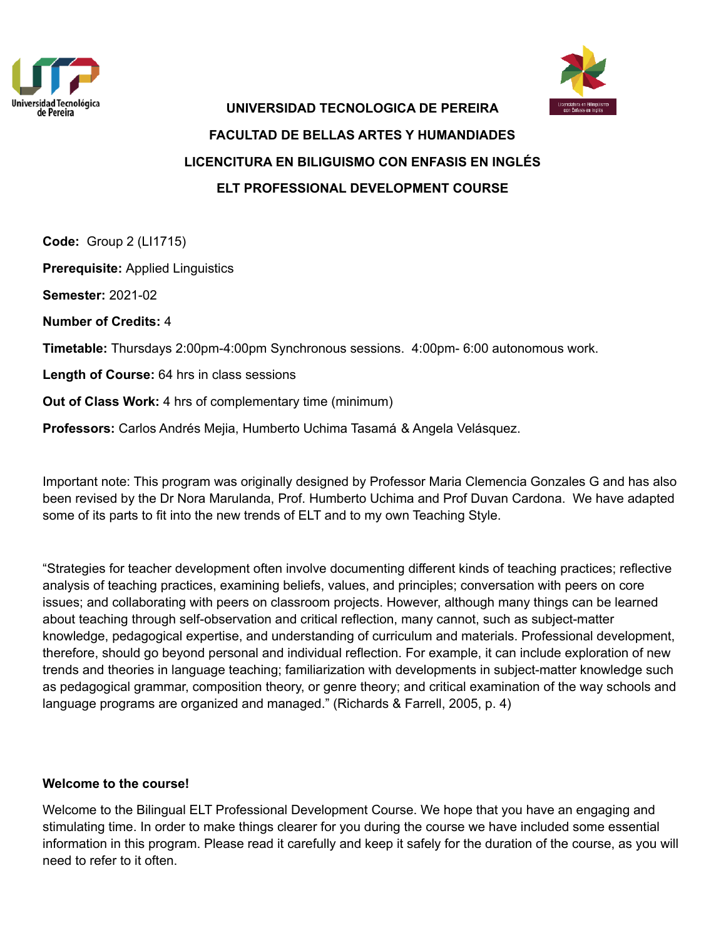



# **UNIVERSIDAD TECNOLOGICA DE PEREIRA FACULTAD DE BELLAS ARTES Y HUMANDIADES LICENCITURA EN BILIGUISMO CON ENFASIS EN INGLÉS ELT PROFESSIONAL DEVELOPMENT COURSE**

**Code:** Group 2 (LI1715) **Prerequisite:** Applied Linguistics **Semester:** 2021-02 **Number of Credits:** 4 **Timetable:** Thursdays 2:00pm-4:00pm Synchronous sessions. 4:00pm- 6:00 autonomous work. **Length of Course:** 64 hrs in class sessions **Out of Class Work:** 4 hrs of complementary time (minimum)

**Professors:** Carlos Andrés Mejia, Humberto Uchima Tasamá & Angela Velásquez.

Important note: This program was originally designed by Professor Maria Clemencia Gonzales G and has also been revised by the Dr Nora Marulanda, Prof. Humberto Uchima and Prof Duvan Cardona. We have adapted some of its parts to fit into the new trends of ELT and to my own Teaching Style.

"Strategies for teacher development often involve documenting different kinds of teaching practices; reflective analysis of teaching practices, examining beliefs, values, and principles; conversation with peers on core issues; and collaborating with peers on classroom projects. However, although many things can be learned about teaching through self-observation and critical reflection, many cannot, such as subject-matter knowledge, pedagogical expertise, and understanding of curriculum and materials. Professional development, therefore, should go beyond personal and individual reflection. For example, it can include exploration of new trends and theories in language teaching; familiarization with developments in subject-matter knowledge such as pedagogical grammar, composition theory, or genre theory; and critical examination of the way schools and language programs are organized and managed." (Richards & Farrell, 2005, p. 4)

#### **Welcome to the course!**

Welcome to the Bilingual ELT Professional Development Course. We hope that you have an engaging and stimulating time. In order to make things clearer for you during the course we have included some essential information in this program. Please read it carefully and keep it safely for the duration of the course, as you will need to refer to it often.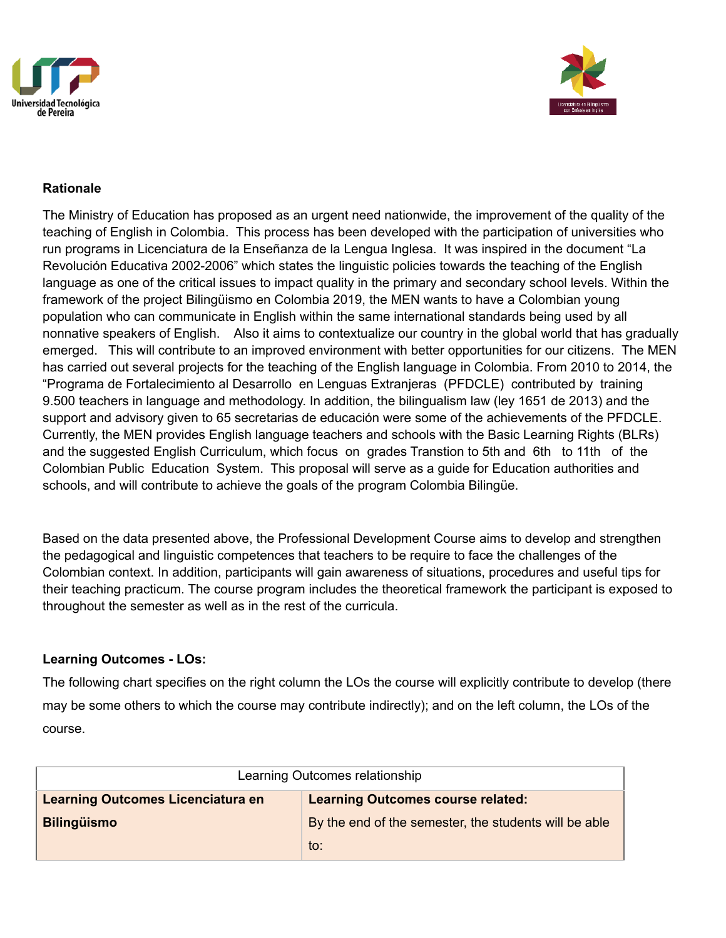



### **Rationale**

The Ministry of Education has proposed as an urgent need nationwide, the improvement of the quality of the teaching of English in Colombia. This process has been developed with the participation of universities who run programs in Licenciatura de la Enseñanza de la Lengua Inglesa. It was inspired in the document "La Revolución Educativa 2002-2006" which states the linguistic policies towards the teaching of the English language as one of the critical issues to impact quality in the primary and secondary school levels. Within the framework of the project Bilingüismo en Colombia 2019, the MEN wants to have a Colombian young population who can communicate in English within the same international standards being used by all nonnative speakers of English. Also it aims to contextualize our country in the global world that has gradually emerged. This will contribute to an improved environment with better opportunities for our citizens. The MEN has carried out several projects for the teaching of the English language in Colombia. From 2010 to 2014, the "Programa de Fortalecimiento al Desarrollo en Lenguas Extranjeras (PFDCLE) contributed by training 9.500 teachers in language and methodology. In addition, the bilingualism law (ley 1651 de 2013) and the support and advisory given to 65 secretarias de educación were some of the achievements of the PFDCLE. Currently, the MEN provides English language teachers and schools with the Basic Learning Rights (BLRs) and the suggested English Curriculum, which focus on grades Transtion to 5th and 6th to 11th of the Colombian Public Education System. This proposal will serve as a guide for Education authorities and schools, and will contribute to achieve the goals of the program Colombia Bilingüe.

Based on the data presented above, the Professional Development Course aims to develop and strengthen the pedagogical and linguistic competences that teachers to be require to face the challenges of the Colombian context. In addition, participants will gain awareness of situations, procedures and useful tips for their teaching practicum. The course program includes the theoretical framework the participant is exposed to throughout the semester as well as in the rest of the curricula.

# **Learning Outcomes - LOs:**

The following chart specifies on the right column the LOs the course will explicitly contribute to develop (there may be some others to which the course may contribute indirectly); and on the left column, the LOs of the course.

| Learning Outcomes relationship           |                                                       |  |  |
|------------------------------------------|-------------------------------------------------------|--|--|
| <b>Learning Outcomes Licenciatura en</b> | <b>Learning Outcomes course related:</b>              |  |  |
| <b>Bilingüismo</b>                       | By the end of the semester, the students will be able |  |  |
|                                          | to:                                                   |  |  |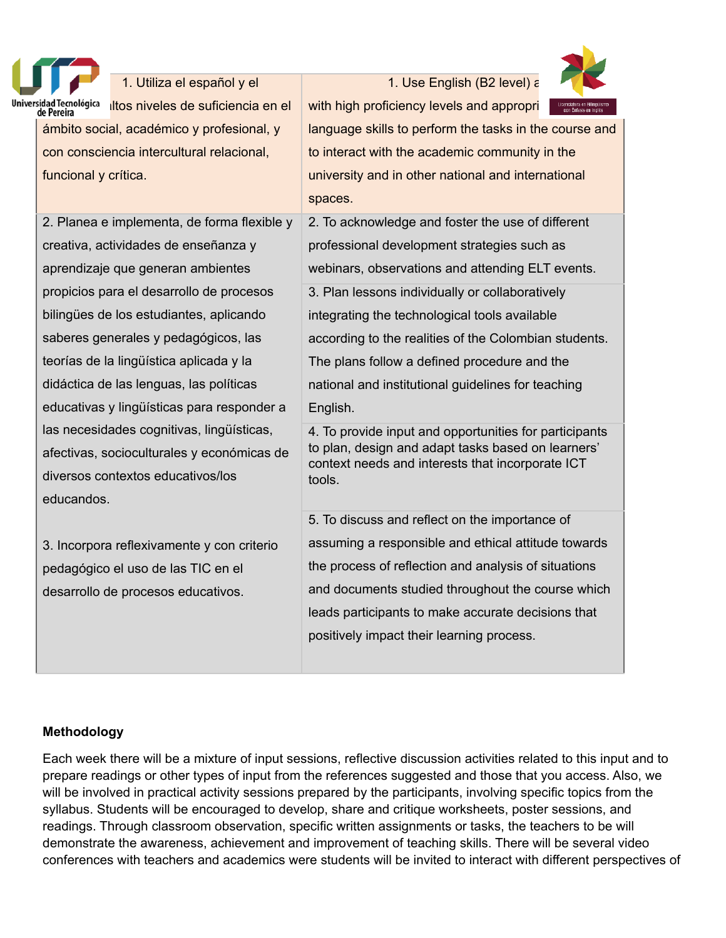

### 1. Utiliza el español y el

niversidad Tecnológica litos niveles de suficiencia en el<br>de Pereira ámbito social, académico y profesional, y con consciencia intercultural relacional, funcional y crítica.

2. Planea e implementa, de forma flexible y creativa, actividades de enseñanza y aprendizaje que generan ambientes propicios para el desarrollo de procesos bilingües de los estudiantes, aplicando saberes generales y pedagógicos, las teorías de la lingüística aplicada y la didáctica de las lenguas, las políticas educativas y lingüísticas para responder a las necesidades cognitivas, lingüísticas, afectivas, socioculturales y económicas de diversos contextos educativos/los educandos.

3. Incorpora reflexivamente y con criterio pedagógico el uso de las TIC en el desarrollo de procesos educativos.

1. Use English (B2 level)  $\varepsilon$ 



with high proficiency levels and appropri language skills to perform the tasks in the course and to interact with the academic community in the university and in other national and international spaces.

2. To acknowledge and foster the use of different professional development strategies such as webinars, observations and attending ELT events. 3. Plan lessons individually or collaboratively integrating the technological tools available according to the realities of the Colombian students. The plans follow a defined procedure and the national and institutional guidelines for teaching English.

4. To provide input and opportunities for participants to plan, design and adapt tasks based on learners' context needs and interests that incorporate ICT tools.

5. To discuss and reflect on the importance of assuming a responsible and ethical attitude towards the process of reflection and analysis of situations and documents studied throughout the course which leads participants to make accurate decisions that positively impact their learning process.

# **Methodology**

Each week there will be a mixture of input sessions, reflective discussion activities related to this input and to prepare readings or other types of input from the references suggested and those that you access. Also, we will be involved in practical activity sessions prepared by the participants, involving specific topics from the syllabus. Students will be encouraged to develop, share and critique worksheets, poster sessions, and readings. Through classroom observation, specific written assignments or tasks, the teachers to be will demonstrate the awareness, achievement and improvement of teaching skills. There will be several video conferences with teachers and academics were students will be invited to interact with different perspectives of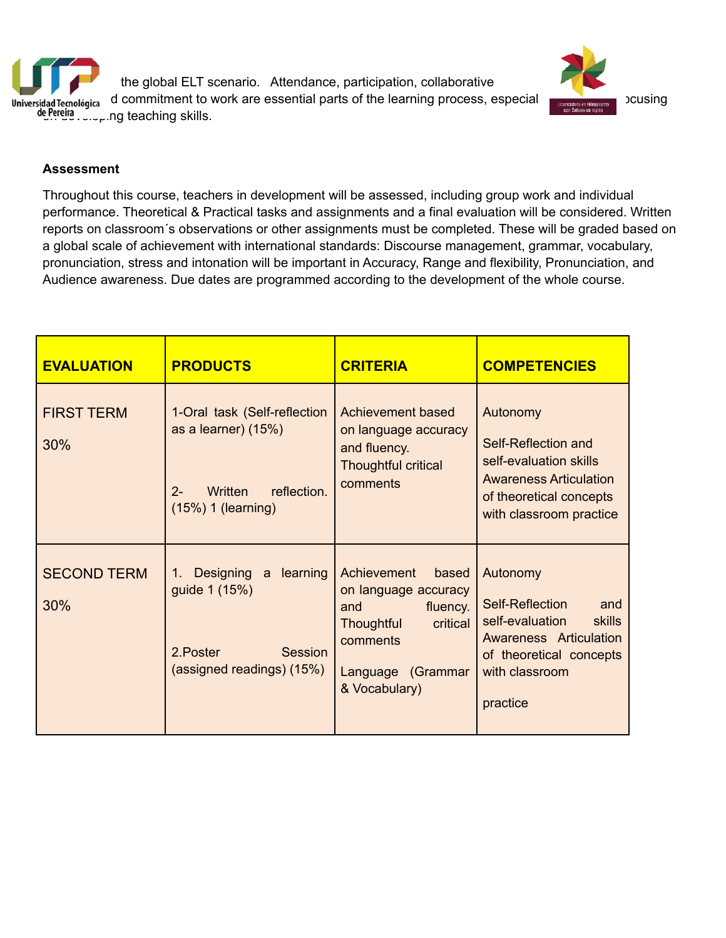



#### **Assessment**

Throughout this course, teachers in development will be assessed, including group work and individual performance. Theoretical & Practical tasks and assignments and a final evaluation will be considered. Written reports on classroom´s observations or other assignments must be completed. These will be graded based on a global scale of achievement with international standards: Discourse management, grammar, vocabulary, pronunciation, stress and intonation will be important in Accuracy, Range and flexibility, Pronunciation, and Audience awareness. Due dates are programmed according to the development of the whole course.

| <b>EVALUATION</b>         | <b>PRODUCTS</b>                                                                                                | <b>CRITERIA</b>                                                                                                                                    | <b>COMPETENCIES</b>                                                                                                                                              |
|---------------------------|----------------------------------------------------------------------------------------------------------------|----------------------------------------------------------------------------------------------------------------------------------------------------|------------------------------------------------------------------------------------------------------------------------------------------------------------------|
| <b>FIRST TERM</b><br>30%  | 1-Oral task (Self-reflection<br>as a learner) (15%)<br>$2 -$<br>reflection.<br>Written<br>$(15%)$ 1 (learning) | Achievement based<br>on language accuracy<br>and fluency.<br><b>Thoughtful critical</b><br>comments                                                | Autonomy<br>Self-Reflection and<br>self-evaluation skills<br><b>Awareness Articulation</b><br>of theoretical concepts<br>with classroom practice                 |
| <b>SECOND TERM</b><br>30% | a learning<br>Designing<br>1.<br>guide 1 (15%)<br>2. Poster<br>Session<br>(assigned readings) (15%)            | Achievement<br>based<br>on language accuracy<br>fluency.<br>and<br><b>Thoughtful</b><br>critical<br>comments<br>Language (Grammar<br>& Vocabulary) | Autonomy<br>Self-Reflection<br>and<br>self-evaluation<br><b>skills</b><br><b>Awareness Articulation</b><br>of theoretical concepts<br>with classroom<br>practice |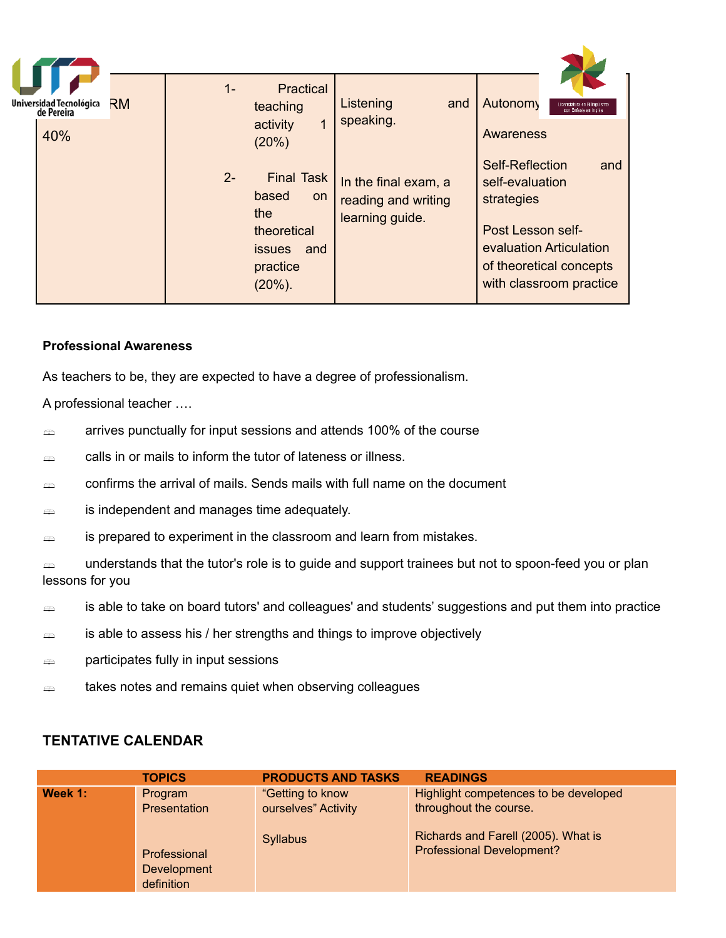| Universidad Tecnológica<br>de Pereira | RM | $1 -$ | Practical<br>teaching                                                                                    | Listening<br>and                                               | Autonomy<br>con Enfasis en Inglé                                                                                                                              |
|---------------------------------------|----|-------|----------------------------------------------------------------------------------------------------------|----------------------------------------------------------------|---------------------------------------------------------------------------------------------------------------------------------------------------------------|
| 40%                                   |    |       | activity<br>(20%)                                                                                        | speaking.                                                      | Awareness                                                                                                                                                     |
|                                       |    | $2 -$ | <b>Final Task</b><br>based<br>on<br>the<br>theoretical<br><i>issues</i><br>and<br>practice<br>$(20\%)$ . | In the final exam, a<br>reading and writing<br>learning guide. | Self-Reflection<br>and<br>self-evaluation<br>strategies<br>Post Lesson self-<br>evaluation Articulation<br>of theoretical concepts<br>with classroom practice |

## **Professional Awareness**

As teachers to be, they are expected to have a degree of professionalism.

A professional teacher ….

- $\epsilon$  arrives punctually for input sessions and attends 100% of the course
- calls in or mails to inform the tutor of lateness or illness.
- $\epsilon$  confirms the arrival of mails. Sends mails with full name on the document
- is independent and manages time adequately.
- $\Rightarrow$  is prepared to experiment in the classroom and learn from mistakes.

exa understands that the tutor's role is to guide and support trainees but not to spoon-feed you or plan lessons for you

- $\Rightarrow$  is able to take on board tutors' and colleagues' and students' suggestions and put them into practice
- $\Rightarrow$  is able to assess his / her strengths and things to improve objectively
- **participates fully in input sessions**
- $\triangleq$  takes notes and remains quiet when observing colleagues

# **TENTATIVE CALENDAR**

|         | <b>TOPICS</b>                             | <b>PRODUCTS AND TASKS</b>                                  | <b>READINGS</b>                                                                                                                            |
|---------|-------------------------------------------|------------------------------------------------------------|--------------------------------------------------------------------------------------------------------------------------------------------|
| Week 1: | Program<br><b>Presentation</b>            | "Getting to know<br>ourselves" Activity<br><b>Syllabus</b> | Highlight competences to be developed<br>throughout the course.<br>Richards and Farell (2005). What is<br><b>Professional Development?</b> |
|         | Professional<br>Development<br>definition |                                                            |                                                                                                                                            |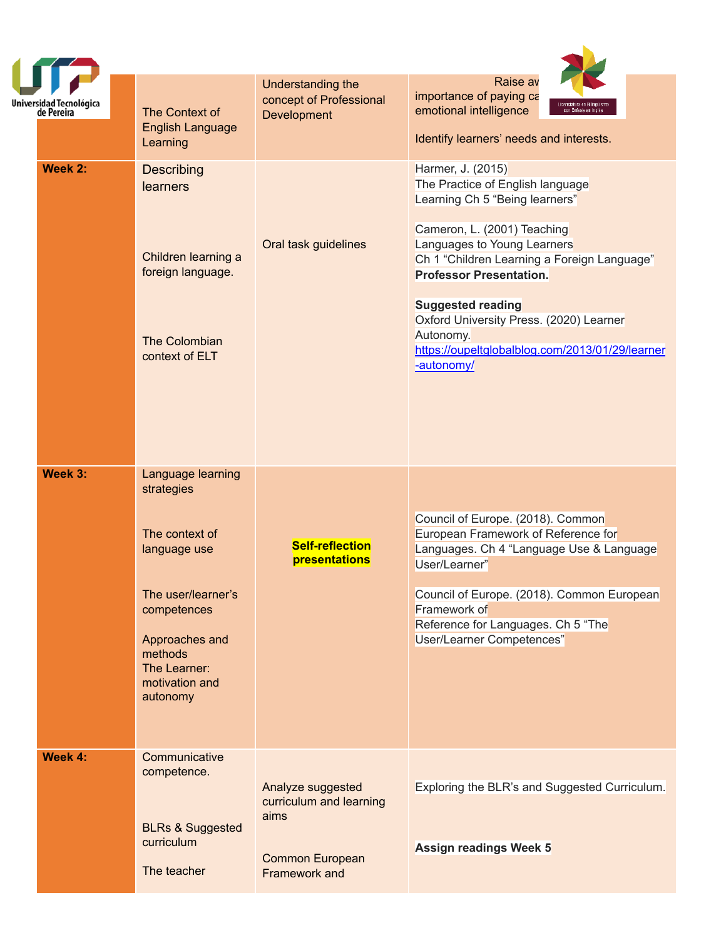| Universidad Tecnológica<br>de Pereira | The Context of<br><b>English Language</b><br>Learning                                                                                                                             | Understanding the<br>concept of Professional<br><b>Development</b>                              | Raise av<br>importance of paying ca<br>emotional intelligence<br>con Enfasis en Inglé<br>Identify learners' needs and interests.                                                                                                                                                                                                                                                            |
|---------------------------------------|-----------------------------------------------------------------------------------------------------------------------------------------------------------------------------------|-------------------------------------------------------------------------------------------------|---------------------------------------------------------------------------------------------------------------------------------------------------------------------------------------------------------------------------------------------------------------------------------------------------------------------------------------------------------------------------------------------|
| Week 2:                               | <b>Describing</b><br>learners<br>Children learning a<br>foreign language.<br>The Colombian<br>context of ELT                                                                      | Oral task guidelines                                                                            | Harmer, J. (2015)<br>The Practice of English language<br>Learning Ch 5 "Being learners"<br>Cameron, L. (2001) Teaching<br>Languages to Young Learners<br>Ch 1 "Children Learning a Foreign Language"<br><b>Professor Presentation.</b><br><b>Suggested reading</b><br>Oxford University Press. (2020) Learner<br>Autonomy.<br>https://oupeltglobalblog.com/2013/01/29/learner<br>-autonomy/ |
| Week 3:                               | Language learning<br>strategies<br>The context of<br>language use<br>The user/learner's<br>competences<br>Approaches and<br>methods<br>The Learner:<br>motivation and<br>autonomy | <b>Self-reflection</b><br>presentations                                                         | Council of Europe. (2018). Common<br>European Framework of Reference for<br>Languages. Ch 4 "Language Use & Language<br>User/Learner"<br>Council of Europe. (2018). Common European<br>Framework of<br>Reference for Languages. Ch 5 "The<br>User/Learner Competences"                                                                                                                      |
| Week 4:                               | Communicative<br>competence.<br><b>BLRs &amp; Suggested</b><br>curriculum<br>The teacher                                                                                          | Analyze suggested<br>curriculum and learning<br>aims<br><b>Common European</b><br>Framework and | Exploring the BLR's and Suggested Curriculum.<br><b>Assign readings Week 5</b>                                                                                                                                                                                                                                                                                                              |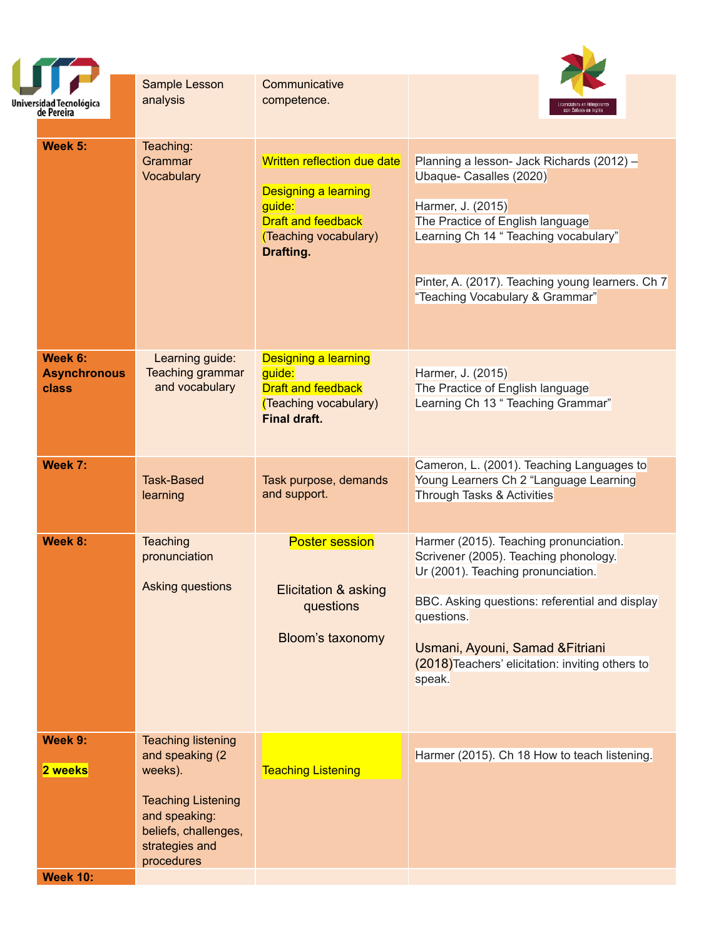| Universidad Tecnológica<br>de Pereira   | <b>Sample Lesson</b><br>analysis                                                                                                                               | Communicative<br>competence.                                                                                                     |                                                                                                                                                                                                                                                                                         |  |
|-----------------------------------------|----------------------------------------------------------------------------------------------------------------------------------------------------------------|----------------------------------------------------------------------------------------------------------------------------------|-----------------------------------------------------------------------------------------------------------------------------------------------------------------------------------------------------------------------------------------------------------------------------------------|--|
| Week 5:                                 | Teaching:<br>Grammar<br>Vocabulary                                                                                                                             | Written reflection due date<br>Designing a learning<br>guide:<br><b>Draft and feedback</b><br>(Teaching vocabulary)<br>Drafting. | Planning a lesson- Jack Richards (2012) -<br>Ubaque- Casalles (2020)<br>Harmer, J. (2015)<br>The Practice of English language<br>Learning Ch 14 " Teaching vocabulary"<br>Pinter, A. (2017). Teaching young learners. Ch 7<br>"Teaching Vocabulary & Grammar"                           |  |
| Week 6:<br><b>Asynchronous</b><br>class | Learning guide:<br>Teaching grammar<br>and vocabulary                                                                                                          | <b>Designing a learning</b><br>guide:<br><b>Draft and feedback</b><br>(Teaching vocabulary)<br><b>Final draft.</b>               | Harmer, J. (2015)<br>The Practice of English language<br>Learning Ch 13 " Teaching Grammar"                                                                                                                                                                                             |  |
| Week 7:                                 | <b>Task-Based</b><br>learning                                                                                                                                  | Task purpose, demands<br>and support.                                                                                            | Cameron, L. (2001). Teaching Languages to<br>Young Learners Ch 2 "Language Learning<br>Through Tasks & Activities                                                                                                                                                                       |  |
| Week 8:                                 | <b>Teaching</b><br>pronunciation<br>Asking questions                                                                                                           | <b>Poster session</b><br>Elicitation & asking<br>questions<br>Bloom's taxonomy                                                   | Harmer (2015). Teaching pronunciation.<br>Scrivener (2005). Teaching phonology.<br>Ur (2001). Teaching pronunciation.<br>BBC. Asking questions: referential and display<br>questions.<br>Usmani, Ayouni, Samad & Fitriani<br>(2018) Teachers' elicitation: inviting others to<br>speak. |  |
| Week 9:<br>2 weeks<br><b>Week 10:</b>   | <b>Teaching listening</b><br>and speaking (2)<br>weeks).<br><b>Teaching Listening</b><br>and speaking:<br>beliefs, challenges,<br>strategies and<br>procedures | <b>Teaching Listening</b>                                                                                                        | Harmer (2015). Ch 18 How to teach listening.                                                                                                                                                                                                                                            |  |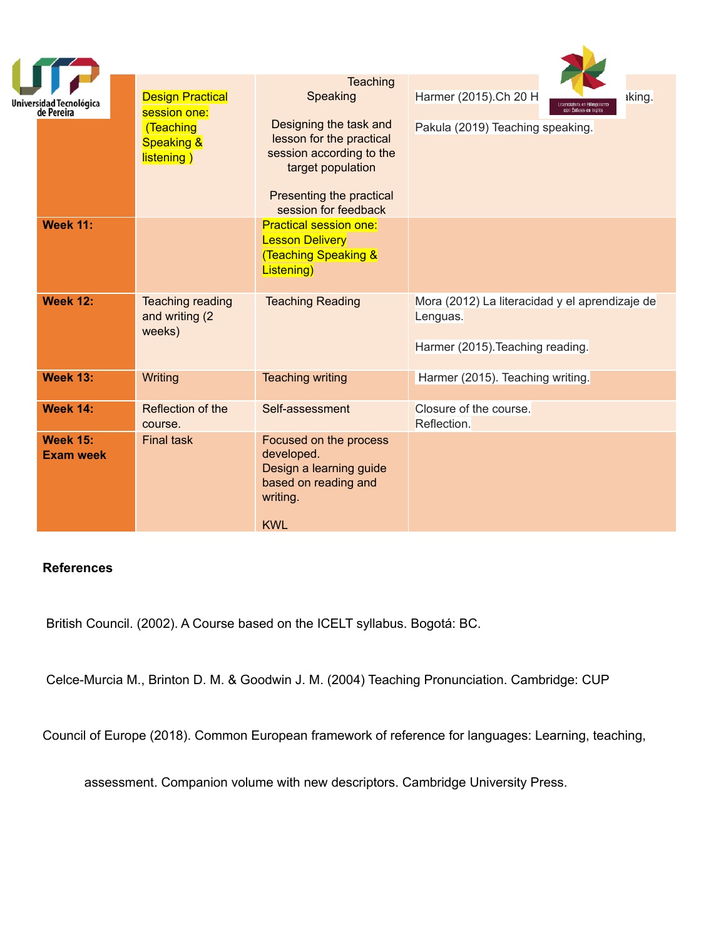| Universidad Tecnológica<br>de Pereira<br><b>Week 11:</b> | <b>Design Practical</b><br>session one:<br>(Teaching<br><b>Speaking &amp;</b><br>listening) | <b>Teaching</b><br>Speaking<br>Designing the task and<br>lesson for the practical<br>session according to the<br>target population<br>Presenting the practical<br>session for feedback<br><b>Practical session one:</b><br><b>Lesson Delivery</b> | Harmer (2015).Ch 20 H<br>iking.<br>con Énfasis en Ingl<br>Pakula (2019) Teaching speaking.     |
|----------------------------------------------------------|---------------------------------------------------------------------------------------------|---------------------------------------------------------------------------------------------------------------------------------------------------------------------------------------------------------------------------------------------------|------------------------------------------------------------------------------------------------|
|                                                          |                                                                                             | <b>Teaching Speaking &amp;</b><br>Listening)                                                                                                                                                                                                      |                                                                                                |
| <b>Week 12:</b>                                          | <b>Teaching reading</b><br>and writing (2)<br>weeks)                                        | <b>Teaching Reading</b>                                                                                                                                                                                                                           | Mora (2012) La literacidad y el aprendizaje de<br>Lenguas.<br>Harmer (2015). Teaching reading. |
| <b>Week 13:</b>                                          | Writing                                                                                     | <b>Teaching writing</b>                                                                                                                                                                                                                           | Harmer (2015). Teaching writing.                                                               |
| <b>Week 14:</b>                                          | Reflection of the<br>course.                                                                | Self-assessment                                                                                                                                                                                                                                   | Closure of the course.<br>Reflection.                                                          |
| <b>Week 15:</b><br><b>Exam week</b>                      | <b>Final task</b>                                                                           | Focused on the process<br>developed.<br>Design a learning guide<br>based on reading and<br>writing.<br><b>KWL</b>                                                                                                                                 |                                                                                                |

# **References**

British Council. (2002). A Course based on the ICELT syllabus. Bogotá: BC.

Celce-Murcia M., Brinton D. M. & Goodwin J. M. (2004) Teaching Pronunciation. Cambridge: CUP

Council of Europe (2018). Common European framework of reference for languages: Learning, teaching,

assessment. Companion volume with new descriptors. Cambridge University Press.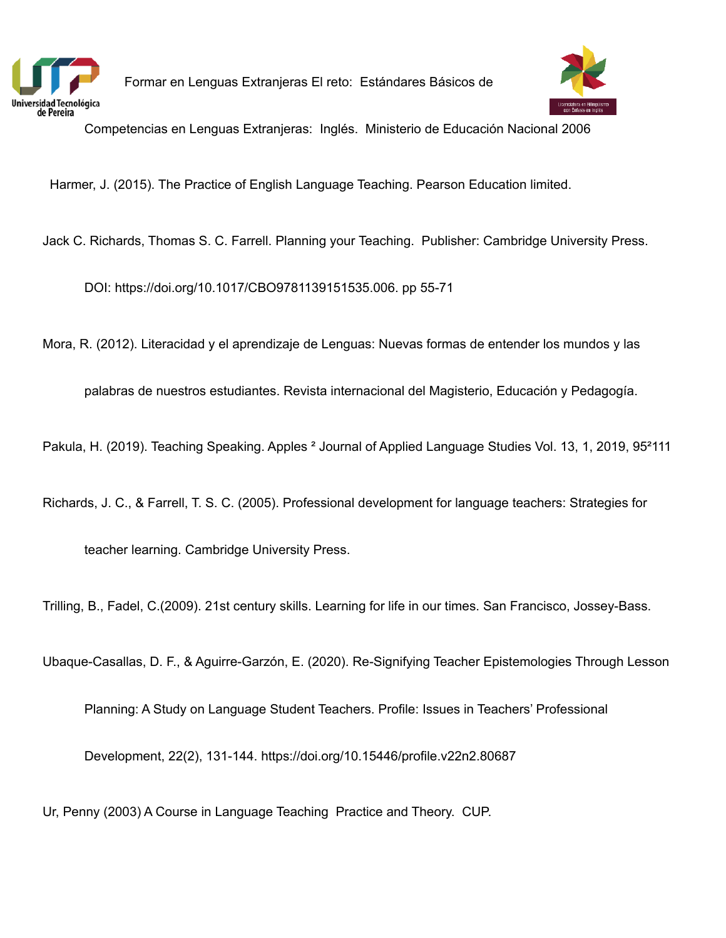

Formar en Lenguas Extranjeras El reto: Estándares Básicos de



Competencias en Lenguas Extranjeras: Inglés. Ministerio de Educación Nacional 2006

Harmer, J. (2015). The Practice of English Language Teaching. Pearson Education limited.

Jack C. Richards, Thomas S. C. Farrell. Planning your Teaching. Publisher: Cambridge University Press.

DOI: https://doi.org/10.1017/CBO9781139151535.006. pp 55-71

Mora, R. (2012). Literacidad y el aprendizaje de Lenguas: Nuevas formas de entender los mundos y las

palabras de nuestros estudiantes. Revista internacional del Magisterio, Educación y Pedagogía.

Pakula, H. (2019). Teaching Speaking. Apples <sup>2</sup> Journal of Applied Language Studies Vol. 13, 1, 2019, 95<sup>2</sup>111

Richards, J. C., & Farrell, T. S. C. (2005). Professional development for language teachers: Strategies for

teacher learning. Cambridge University Press.

Trilling, B., Fadel, C.(2009). 21st century skills. Learning for life in our times. San Francisco, Jossey-Bass.

Ubaque-Casallas, D. F., & Aguirre-Garzón, E. (2020). Re-Signifying Teacher Epistemologies Through Lesson

Planning: A Study on Language Student Teachers. Profile: Issues in Teachers' Professional

Development, 22(2), 131-144. https://doi.org/10.15446/profile.v22n2.80687

Ur, Penny (2003) A Course in Language Teaching Practice and Theory. CUP.